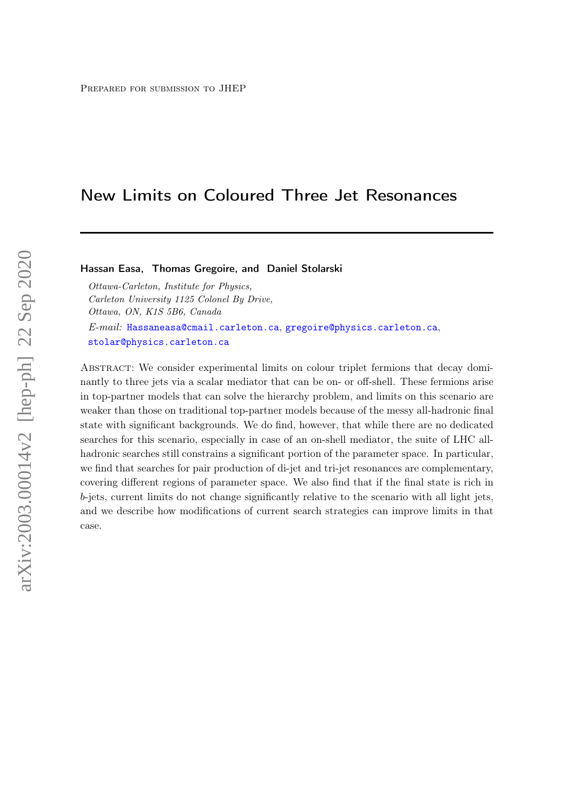# New Limits on Coloured Three Jet Resonances

### Hassan Easa, Thomas Gregoire, and Daniel Stolarski

Ottawa-Carleton, Institute for Physics, Carleton University 1125 Colonel By Drive, Ottawa, ON, K1S 5B6, Canada E-mail: [Hassaneasa@cmail.carleton.ca](mailto:Hassaneasa@cmail.carleton.ca), [gregoire@physics.carleton.ca](mailto:gregoire@physics.carleton.ca), [stolar@physics.carleton.ca](mailto:stolar@physics.carleton.ca)

Abstract: We consider experimental limits on colour triplet fermions that decay dominantly to three jets via a scalar mediator that can be on- or off-shell. These fermions arise in top-partner models that can solve the hierarchy problem, and limits on this scenario are weaker than those on traditional top-partner models because of the messy all-hadronic final state with significant backgrounds. We do find, however, that while there are no dedicated searches for this scenario, especially in case of an on-shell mediator, the suite of LHC allhadronic searches still constrains a significant portion of the parameter space. In particular, we find that searches for pair production of di-jet and tri-jet resonances are complementary, covering different regions of parameter space. We also find that if the final state is rich in b-jets, current limits do not change significantly relative to the scenario with all light jets, and we describe how modifications of current search strategies can improve limits in that case.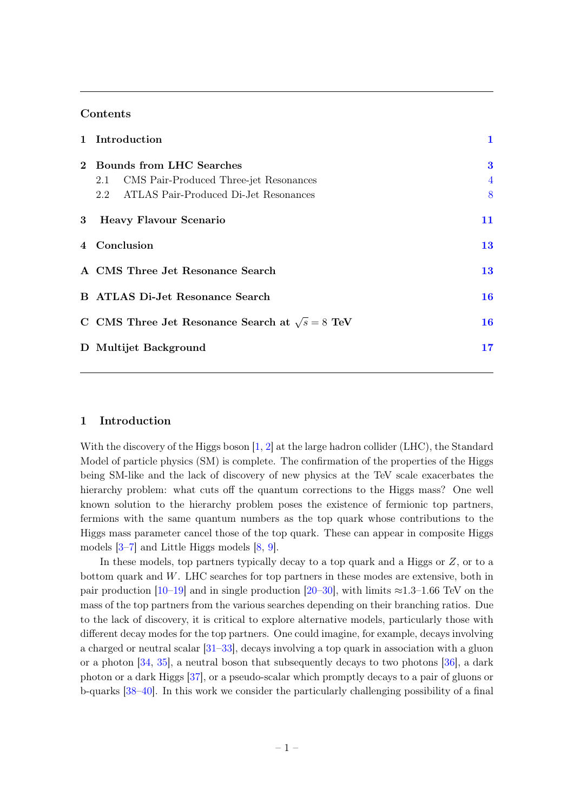# Contents

|             | 1 Introduction                                         | $\mathbf 1$    |  |  |
|-------------|--------------------------------------------------------|----------------|--|--|
|             | 2 Bounds from LHC Searches                             | $\bf{3}$       |  |  |
|             | CMS Pair-Produced Three-jet Resonances<br>2.1          | $\overline{4}$ |  |  |
|             | ATLAS Pair-Produced Di-Jet Resonances<br>2.2           | 8              |  |  |
| $3^{\circ}$ | <b>Heavy Flavour Scenario</b>                          | 11             |  |  |
|             | 4 Conclusion                                           | 13             |  |  |
|             | A CMS Three Jet Resonance Search                       | 13             |  |  |
|             | <b>B</b> ATLAS Di-Jet Resonance Search                 |                |  |  |
|             | C CMS Three Jet Resonance Search at $\sqrt{s} = 8$ TeV | 16             |  |  |
|             | D Multijet Background                                  | 17             |  |  |

#### <span id="page-1-0"></span>1 Introduction

With the discovery of the Higgs boson [\[1,](#page-18-0) [2\]](#page-18-1) at the large hadron collider (LHC), the Standard Model of particle physics (SM) is complete. The confirmation of the properties of the Higgs being SM-like and the lack of discovery of new physics at the TeV scale exacerbates the hierarchy problem: what cuts off the quantum corrections to the Higgs mass? One well known solution to the hierarchy problem poses the existence of fermionic top partners, fermions with the same quantum numbers as the top quark whose contributions to the Higgs mass parameter cancel those of the top quark. These can appear in composite Higgs models [\[3–](#page-18-2)[7\]](#page-18-3) and Little Higgs models [\[8,](#page-18-4) [9\]](#page-18-5).

In these models, top partners typically decay to a top quark and a Higgs or Z, or to a bottom quark and W. LHC searches for top partners in these modes are extensive, both in pair production [\[10–](#page-18-6)[19\]](#page-19-0) and in single production [\[20](#page-19-1)[–30\]](#page-19-2), with limits  $\approx$ 1.3–1.66 TeV on the mass of the top partners from the various searches depending on their branching ratios. Due to the lack of discovery, it is critical to explore alternative models, particularly those with different decay modes for the top partners. One could imagine, for example, decays involving a charged or neutral scalar [\[31–](#page-19-3)[33\]](#page-20-0), decays involving a top quark in association with a gluon or a photon [\[34,](#page-20-1) [35\]](#page-20-2), a neutral boson that subsequently decays to two photons [\[36\]](#page-20-3), a dark photon or a dark Higgs [\[37\]](#page-20-4), or a pseudo-scalar which promptly decays to a pair of gluons or b-quarks [\[38–](#page-20-5)[40\]](#page-20-6). In this work we consider the particularly challenging possibility of a final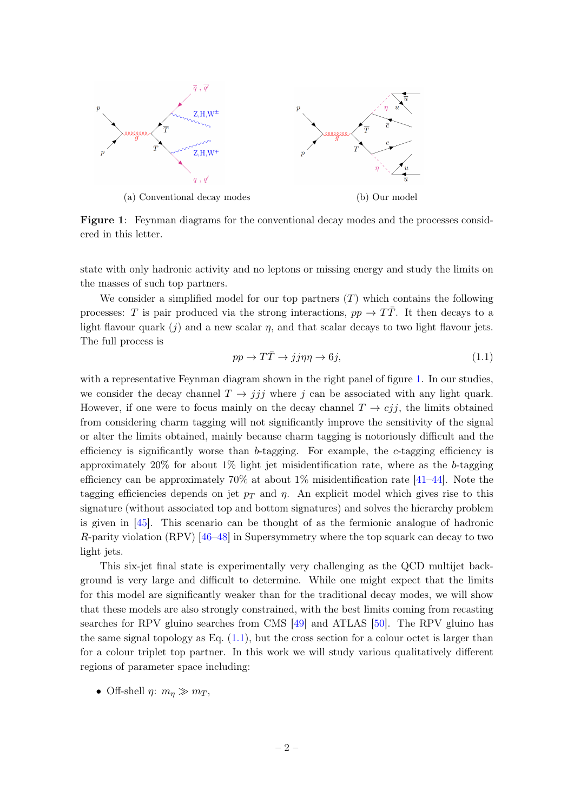<span id="page-2-0"></span>

Figure 1: Feynman diagrams for the conventional decay modes and the processes considered in this letter.

state with only hadronic activity and no leptons or missing energy and study the limits on the masses of such top partners.

We consider a simplified model for our top partners  $(T)$  which contains the following processes: T is pair produced via the strong interactions,  $pp \rightarrow T\overline{T}$ . It then decays to a light flavour quark  $(j)$  and a new scalar  $\eta$ , and that scalar decays to two light flavour jets. The full process is

<span id="page-2-1"></span>
$$
pp \to T\bar{T} \to jj\eta\eta \to 6j,\tag{1.1}
$$

with a representative Feynman diagram shown in the right panel of figure [1.](#page-2-0) In our studies, we consider the decay channel  $T \rightarrow jjj$  where j can be associated with any light quark. However, if one were to focus mainly on the decay channel  $T \rightarrow cjj$ , the limits obtained from considering charm tagging will not significantly improve the sensitivity of the signal or alter the limits obtained, mainly because charm tagging is notoriously difficult and the efficiency is significantly worse than  $b$ -tagging. For example, the c-tagging efficiency is approximately 20% for about 1% light jet misidentification rate, where as the b-tagging efficiency can be approximately  $70\%$  at about  $1\%$  misidentification rate [\[41–](#page-20-7)[44\]](#page-20-8). Note the tagging efficiencies depends on jet  $p_T$  and  $\eta$ . An explicit model which gives rise to this signature (without associated top and bottom signatures) and solves the hierarchy problem is given in [\[45\]](#page-20-9). This scenario can be thought of as the fermionic analogue of hadronic R-parity violation (RPV) [\[46–](#page-20-10)[48\]](#page-20-11) in Supersymmetry where the top squark can decay to two light jets.

This six-jet final state is experimentally very challenging as the QCD multijet background is very large and difficult to determine. While one might expect that the limits for this model are significantly weaker than for the traditional decay modes, we will show that these models are also strongly constrained, with the best limits coming from recasting searches for RPV gluino searches from CMS [\[49\]](#page-20-12) and ATLAS [\[50\]](#page-20-13). The RPV gluino has the same signal topology as Eq.  $(1.1)$ , but the cross section for a colour octet is larger than for a colour triplet top partner. In this work we will study various qualitatively different regions of parameter space including:

• Off-shell  $\eta: m_n \gg m_T$ ,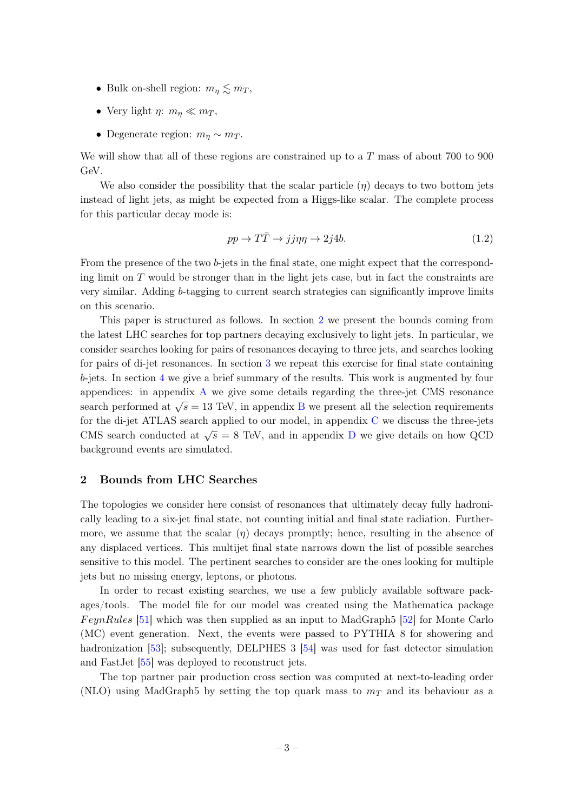- Bulk on-shell region:  $m_{\eta} \lesssim m_T$ ,
- Very light  $\eta: m_{\eta} \ll m_T$ ,
- Degenerate region:  $m_n \sim m_T$ .

We will show that all of these regions are constrained up to a T mass of about 700 to 900 GeV.

We also consider the possibility that the scalar particle  $(\eta)$  decays to two bottom jets instead of light jets, as might be expected from a Higgs-like scalar. The complete process for this particular decay mode is:

$$
pp \to T\bar{T} \to jj\eta\eta \to 2j4b. \tag{1.2}
$$

From the presence of the two b-jets in the final state, one might expect that the corresponding limit on  $T$  would be stronger than in the light jets case, but in fact the constraints are very similar. Adding b-tagging to current search strategies can significantly improve limits on this scenario.

This paper is structured as follows. In section [2](#page-3-0) we present the bounds coming from the latest LHC searches for top partners decaying exclusively to light jets. In particular, we consider searches looking for pairs of resonances decaying to three jets, and searches looking for pairs of di-jet resonances. In section [3](#page-11-0) we repeat this exercise for final state containing b-jets. In section [4](#page-13-0) we give a brief summary of the results. This work is augmented by four appendices: in appendix [A](#page-13-1) we give some details regarding the three-jet CMS resonance search performed at  $\sqrt{s} = 13$  TeV, in appendix [B](#page-16-0) we present all the selection requirements for the di-jet ATLAS search applied to our model, in appendix [C](#page-16-1) we discuss the three-jets CMS search conducted at  $\sqrt{s} = 8$  TeV, and in appendix [D](#page-17-0) we give details on how QCD background events are simulated.

# <span id="page-3-0"></span>2 Bounds from LHC Searches

The topologies we consider here consist of resonances that ultimately decay fully hadronically leading to a six-jet final state, not counting initial and final state radiation. Furthermore, we assume that the scalar  $(\eta)$  decays promptly; hence, resulting in the absence of any displaced vertices. This multijet final state narrows down the list of possible searches sensitive to this model. The pertinent searches to consider are the ones looking for multiple jets but no missing energy, leptons, or photons.

In order to recast existing searches, we use a few publicly available software packages/tools. The model file for our model was created using the Mathematica package *FeynRules* [\[51\]](#page-20-14) which was then supplied as an input to MadGraph5 [\[52\]](#page-20-15) for Monte Carlo (MC) event generation. Next, the events were passed to PYTHIA 8 for showering and hadronization [\[53\]](#page-21-0); subsequently, DELPHES 3 [\[54\]](#page-21-1) was used for fast detector simulation and FastJet [\[55\]](#page-21-2) was deployed to reconstruct jets.

The top partner pair production cross section was computed at next-to-leading order (NLO) using MadGraph5 by setting the top quark mass to  $m<sub>T</sub>$  and its behaviour as a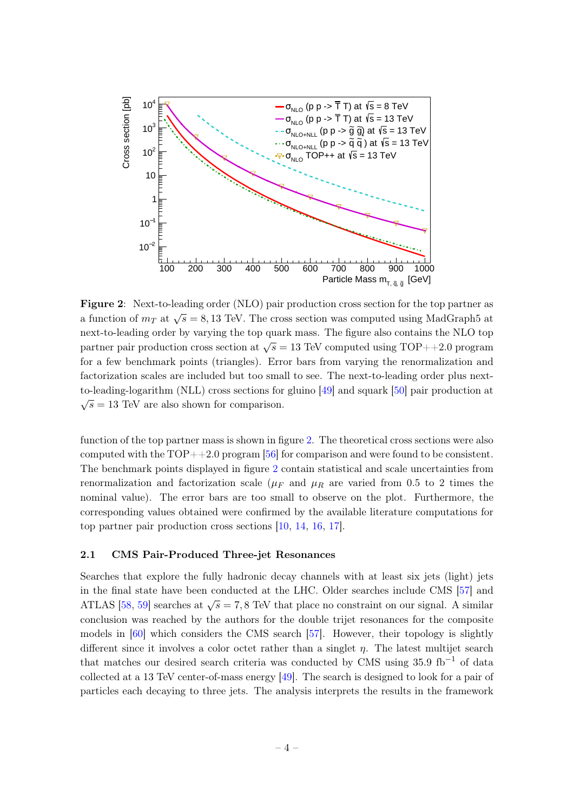<span id="page-4-1"></span>

Figure 2: Next-to-leading order (NLO) pair production cross section for the top partner as a function of  $m<sub>T</sub>$  at  $\sqrt{s} = 8,13$  TeV. The cross section was computed using MadGraph5 at next-to-leading order by varying the top quark mass. The figure also contains the NLO top partner pair production cross section at  $\sqrt{s} = 13$  TeV computed using TOP++2.0 program for a few benchmark points (triangles). Error bars from varying the renormalization and factorization scales are included but too small to see. The next-to-leading order plus nextto-leading-logarithm (NLL) cross sections for gluino [\[49\]](#page-20-12) and squark [\[50\]](#page-20-13) pair production at  $\sqrt{s} = 13$  TeV are also shown for comparison.

function of the top partner mass is shown in figure [2.](#page-4-1) The theoretical cross sections were also computed with the  $TOP++2.0$  program [\[56\]](#page-21-3) for comparison and were found to be consistent. The benchmark points displayed in figure [2](#page-4-1) contain statistical and scale uncertainties from renormalization and factorization scale ( $\mu_F$  and  $\mu_R$  are varied from 0.5 to 2 times the nominal value). The error bars are too small to observe on the plot. Furthermore, the corresponding values obtained were confirmed by the available literature computations for top partner pair production cross sections [\[10,](#page-18-6) [14,](#page-18-7) [16,](#page-18-8) [17\]](#page-18-9).

#### <span id="page-4-0"></span>2.1 CMS Pair-Produced Three-jet Resonances

Searches that explore the fully hadronic decay channels with at least six jets (light) jets in the final state have been conducted at the LHC. Older searches include CMS [\[57\]](#page-21-4) and ATLAS [\[58,](#page-21-5) [59\]](#page-21-6) searches at  $\sqrt{s} = 7,8$  TeV that place no constraint on our signal. A similar conclusion was reached by the authors for the double trijet resonances for the composite models in [\[60\]](#page-21-7) which considers the CMS search [\[57\]](#page-21-4). However, their topology is slightly different since it involves a color octet rather than a singlet  $\eta$ . The latest multijet search that matches our desired search criteria was conducted by CMS using  $35.9 \text{ fb}^{-1}$  of data collected at a 13 TeV center-of-mass energy [\[49\]](#page-20-12). The search is designed to look for a pair of particles each decaying to three jets. The analysis interprets the results in the framework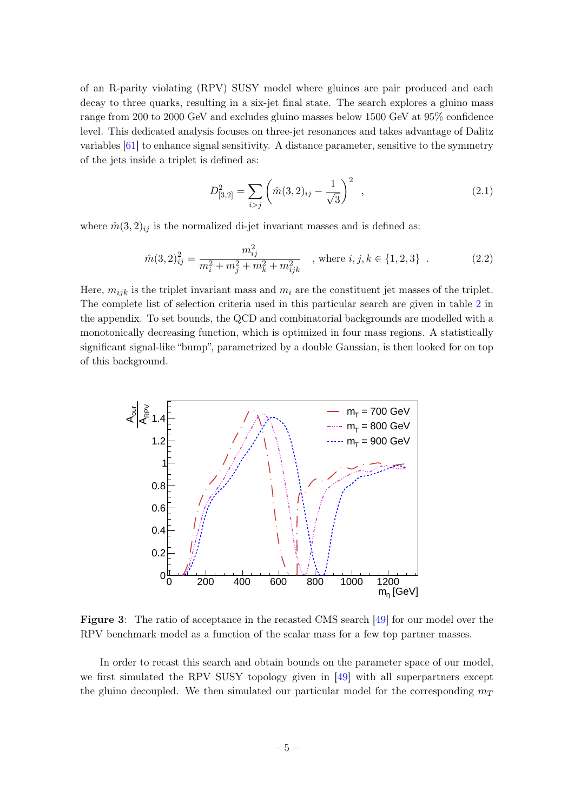of an R-parity violating (RPV) SUSY model where gluinos are pair produced and each decay to three quarks, resulting in a six-jet final state. The search explores a gluino mass range from 200 to 2000 GeV and excludes gluino masses below 1500 GeV at 95% confidence level. This dedicated analysis focuses on three-jet resonances and takes advantage of Dalitz variables [\[61\]](#page-21-8) to enhance signal sensitivity. A distance parameter, sensitive to the symmetry of the jets inside a triplet is defined as:

$$
D_{[3,2]}^2 = \sum_{i>j} \left( \hat{m}(3,2)_{ij} - \frac{1}{\sqrt{3}} \right)^2 , \qquad (2.1)
$$

where  $\hat{m}(3,2)_{ij}$  is the normalized di-jet invariant masses and is defined as:

$$
\hat{m}(3,2)^2_{ij} = \frac{m_{ij}^2}{m_i^2 + m_j^2 + m_k^2 + m_{ijk}^2} \quad , \text{where } i, j, k \in \{1, 2, 3\} \quad . \tag{2.2}
$$

Here,  $m_{ijk}$  is the triplet invariant mass and  $m_i$  are the constituent jet masses of the triplet. The complete list of selection criteria used in this particular search are given in table [2](#page-14-0) in the appendix. To set bounds, the QCD and combinatorial backgrounds are modelled with a monotonically decreasing function, which is optimized in four mass regions. A statistically significant signal-like "bump", parametrized by a double Gaussian, is then looked for on top of this background.

<span id="page-5-0"></span>

Figure 3: The ratio of acceptance in the recasted CMS search [\[49\]](#page-20-12) for our model over the RPV benchmark model as a function of the scalar mass for a few top partner masses.

In order to recast this search and obtain bounds on the parameter space of our model, we first simulated the RPV SUSY topology given in [\[49\]](#page-20-12) with all superpartners except the gluino decoupled. We then simulated our particular model for the corresponding  $m_T$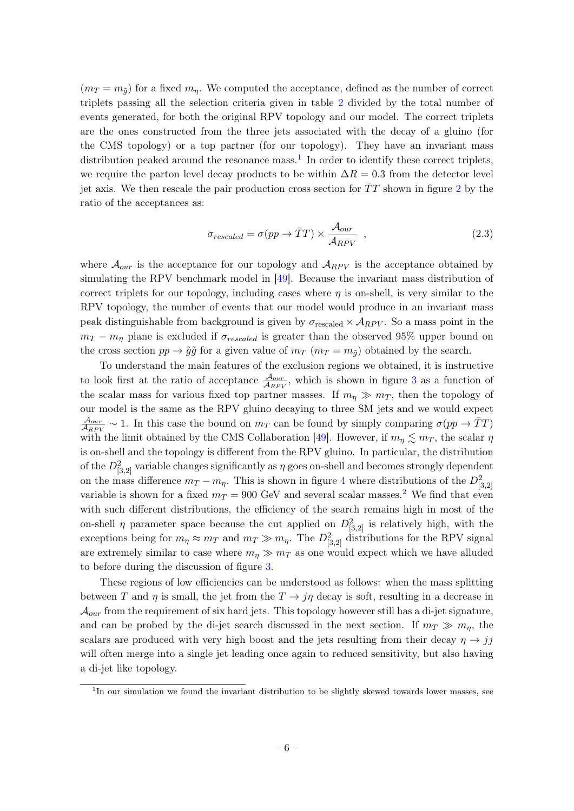$(m_T = m_{\tilde{q}})$  for a fixed  $m_{\eta}$ . We computed the acceptance, defined as the number of correct triplets passing all the selection criteria given in table [2](#page-14-0) divided by the total number of events generated, for both the original RPV topology and our model. The correct triplets are the ones constructed from the three jets associated with the decay of a gluino (for the CMS topology) or a top partner (for our topology). They have an invariant mass distribution peaked around the resonance mass.<sup>[1](#page-6-0)</sup> In order to identify these correct triplets, we require the parton level decay products to be within  $\Delta R = 0.3$  from the detector level jet axis. We then rescale the pair production cross section for  $\bar{T}T$  shown in figure [2](#page-4-1) by the ratio of the acceptances as:

<span id="page-6-1"></span>
$$
\sigma_{rescaled} = \sigma(pp \to \bar{T}T) \times \frac{\mathcal{A}_{our}}{\mathcal{A}_{RPV}} \quad , \tag{2.3}
$$

where  $\mathcal{A}_{our}$  is the acceptance for our topology and  $\mathcal{A}_{RPV}$  is the acceptance obtained by simulating the RPV benchmark model in [\[49\]](#page-20-12). Because the invariant mass distribution of correct triplets for our topology, including cases where  $\eta$  is on-shell, is very similar to the RPV topology, the number of events that our model would produce in an invariant mass peak distinguishable from background is given by  $\sigma_{rescaled} \times A_{RPV}$ . So a mass point in the  $m_T - m_\eta$  plane is excluded if  $\sigma_{rescaled}$  is greater than the observed 95% upper bound on the cross section  $pp \rightarrow \tilde{g}\tilde{g}$  for a given value of  $m_T$  ( $m_T = m_{\tilde{g}}$ ) obtained by the search.

To understand the main features of the exclusion regions we obtained, it is instructive to look first at the ratio of acceptance  $\frac{\mathcal{A}_{our}}{\mathcal{A}_{RPV}}$ , which is shown in figure [3](#page-5-0) as a function of the scalar mass for various fixed top partner masses. If  $m_n \gg m_T$ , then the topology of our model is the same as the RPV gluino decaying to three SM jets and we would expect  $\mathcal{A}_{our}$  $\frac{A_{our}}{A_{RPV}} \sim 1$ . In this case the bound on  $m_T$  can be found by simply comparing  $\sigma(pp \to \bar{T}T)$ with the limit obtained by the CMS Collaboration [\[49\]](#page-20-12). However, if  $m_{\eta} \lesssim m_T$ , the scalar  $\eta$ is on-shell and the topology is different from the RPV gluino. In particular, the distribution of the  $D_{[3,2]}^2$  variable changes significantly as  $\eta$  goes on-shell and becomes strongly dependent on the mass difference  $m_T - m_\eta$ . This is shown in figure [4](#page-7-0) where distributions of the  $D^2_{[3,2]}$ variable is shown for a fixed  $m_T = 900$  GeV and several scalar masses.<sup>[2](#page-7-1)</sup> We find that even with such different distributions, the efficiency of the search remains high in most of the on-shell  $\eta$  parameter space because the cut applied on  $D_{[3,2]}^2$  is relatively high, with the exceptions being for  $m_{\eta} \approx m_T$  and  $m_T \gg m_{\eta}$ . The  $D_{[3,2]}^2$  distributions for the RPV signal are extremely similar to case where  $m_n \gg m_T$  as one would expect which we have alluded to before during the discussion of figure [3.](#page-5-0)

These regions of low efficiencies can be understood as follows: when the mass splitting between T and  $\eta$  is small, the jet from the  $T \to j\eta$  decay is soft, resulting in a decrease in  $\mathcal{A}_{our}$  from the requirement of six hard jets. This topology however still has a di-jet signature, and can be probed by the di-jet search discussed in the next section. If  $m_T \gg m_\eta$ , the scalars are produced with very high boost and the jets resulting from their decay  $\eta \rightarrow i\bar{j}$ will often merge into a single jet leading once again to reduced sensitivity, but also having a di-jet like topology.

<span id="page-6-0"></span><sup>&</sup>lt;sup>1</sup>In our simulation we found the invariant distribution to be slightly skewed towards lower masses, see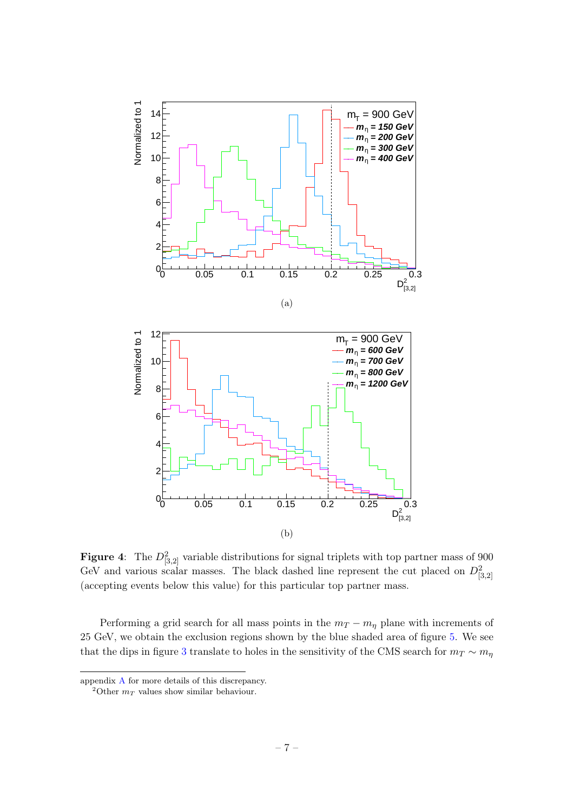<span id="page-7-0"></span>

**Figure 4:** The  $D^2_{[3,2]}$  variable distributions for signal triplets with top partner mass of 900 GeV and various scalar masses. The black dashed line represent the cut placed on  $D_{[3,2]}^2$ (accepting events below this value) for this particular top partner mass.

Performing a grid search for all mass points in the  $m_T - m_\eta$  plane with increments of 25 GeV, we obtain the exclusion regions shown by the blue shaded area of figure [5.](#page-8-1) We see that the dips in figure [3](#page-5-0) translate to holes in the sensitivity of the CMS search for  $m_T \sim m_\eta$ 

appendix [A](#page-13-1) for more details of this discrepancy.

<span id="page-7-1"></span><sup>&</sup>lt;sup>2</sup>Other  $m_T$  values show similar behaviour.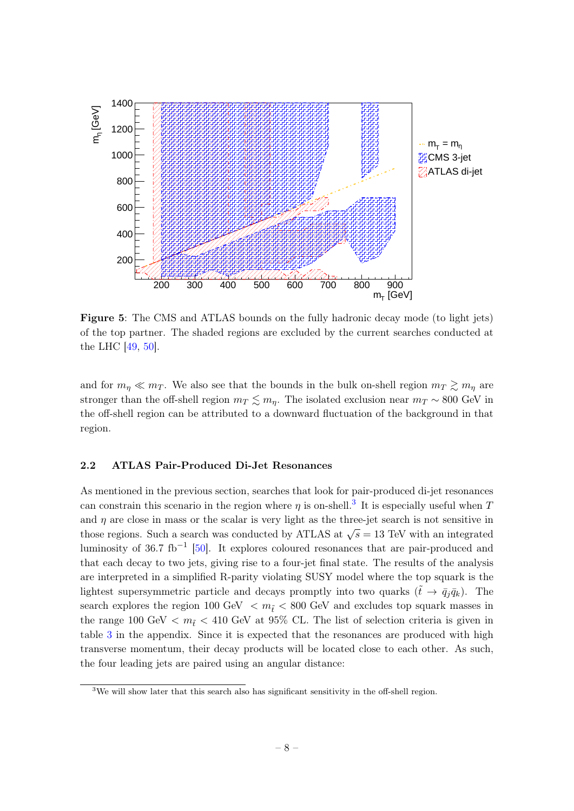<span id="page-8-1"></span>

Figure 5: The CMS and ATLAS bounds on the fully hadronic decay mode (to light jets) of the top partner. The shaded regions are excluded by the current searches conducted at the LHC [\[49,](#page-20-12) [50\]](#page-20-13).

and for  $m_{\eta} \ll m_T$ . We also see that the bounds in the bulk on-shell region  $m_T \gtrsim m_{\eta}$  are stronger than the off-shell region  $m_T \lesssim m_\eta$ . The isolated exclusion near  $m_T \sim 800$  GeV in the off-shell region can be attributed to a downward fluctuation of the background in that region.

## <span id="page-8-0"></span>2.2 ATLAS Pair-Produced Di-Jet Resonances

As mentioned in the previous section, searches that look for pair-produced di-jet resonances can constrain this scenario in the region where  $\eta$  is on-shell.<sup>[3](#page-8-2)</sup> It is especially useful when T and  $\eta$  are close in mass or the scalar is very light as the three-jet search is not sensitive in those regions. Such a search was conducted by ATLAS at  $\sqrt{s} = 13$  TeV with an integrated luminosity of 36.7 fb<sup>-1</sup> [\[50\]](#page-20-13). It explores coloured resonances that are pair-produced and that each decay to two jets, giving rise to a four-jet final state. The results of the analysis are interpreted in a simplified R-parity violating SUSY model where the top squark is the lightest supersymmetric particle and decays promptly into two quarks  $(\tilde{t} \to \bar{q}_i \bar{q}_k)$ . The search explores the region 100 GeV  $\langle m_{\tilde{t}} \rangle$  = 800 GeV and excludes top squark masses in the range 100 GeV  $\langle m_{\tilde{t}} \rangle$  410 GeV at 95% CL. The list of selection criteria is given in table [3](#page-16-2) in the appendix. Since it is expected that the resonances are produced with high transverse momentum, their decay products will be located close to each other. As such, the four leading jets are paired using an angular distance:

<span id="page-8-2"></span> $3$ We will show later that this search also has significant sensitivity in the off-shell region.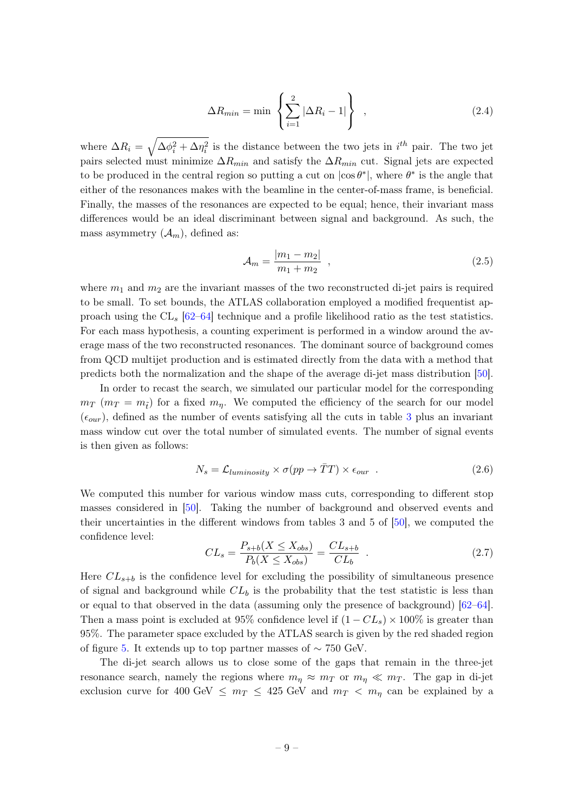$$
\Delta R_{min} = \min \left\{ \sum_{i=1}^{2} |\Delta R_i - 1| \right\} , \qquad (2.4)
$$

where  $\Delta R_i = \sqrt{\Delta \phi_i^2 + \Delta \eta_i^2}$  is the distance between the two jets in  $i^{th}$  pair. The two jet pairs selected must minimize  $\Delta R_{min}$  and satisfy the  $\Delta R_{min}$  cut. Signal jets are expected to be produced in the central region so putting a cut on  $|\cos \theta^*|$ , where  $\theta^*$  is the angle that either of the resonances makes with the beamline in the center-of-mass frame, is beneficial. Finally, the masses of the resonances are expected to be equal; hence, their invariant mass differences would be an ideal discriminant between signal and background. As such, the mass asymmetry  $(\mathcal{A}_m)$ , defined as:

<span id="page-9-0"></span>
$$
\mathcal{A}_m = \frac{|m_1 - m_2|}{m_1 + m_2} \tag{2.5}
$$

where  $m_1$  and  $m_2$  are the invariant masses of the two reconstructed di-jet pairs is required to be small. To set bounds, the ATLAS collaboration employed a modified frequentist approach using the  $CL_s$  [\[62–](#page-21-9)[64\]](#page-21-10) technique and a profile likelihood ratio as the test statistics. For each mass hypothesis, a counting experiment is performed in a window around the average mass of the two reconstructed resonances. The dominant source of background comes from QCD multijet production and is estimated directly from the data with a method that predicts both the normalization and the shape of the average di-jet mass distribution [\[50\]](#page-20-13).

In order to recast the search, we simulated our particular model for the corresponding  $m_T$  ( $m_T = m_{\tilde{t}}$ ) for a fixed  $m_{\eta}$ . We computed the efficiency of the search for our model  $(\epsilon_{\text{our}})$ , defined as the number of events satisfying all the cuts in table [3](#page-16-2) plus an invariant mass window cut over the total number of simulated events. The number of signal events is then given as follows:

$$
N_s = \mathcal{L}_{luminosity} \times \sigma(pp \to \bar{T}T) \times \epsilon_{our} \quad . \tag{2.6}
$$

We computed this number for various window mass cuts, corresponding to different stop masses considered in [\[50\]](#page-20-13). Taking the number of background and observed events and their uncertainties in the different windows from tables 3 and 5 of [\[50\]](#page-20-13), we computed the confidence level:

$$
CL_s = \frac{P_{s+b}(X \le X_{obs})}{P_b(X \le X_{obs})} = \frac{CL_{s+b}}{CL_b} \tag{2.7}
$$

Here  $CL_{s+b}$  is the confidence level for excluding the possibility of simultaneous presence of signal and background while  $CL_b$  is the probability that the test statistic is less than or equal to that observed in the data (assuming only the presence of background) [\[62–](#page-21-9)[64\]](#page-21-10). Then a mass point is excluded at 95% confidence level if  $(1 - CL_s) \times 100\%$  is greater than 95%. The parameter space excluded by the ATLAS search is given by the red shaded region of figure [5.](#page-8-1) It extends up to top partner masses of  $\sim$  750 GeV.

The di-jet search allows us to close some of the gaps that remain in the three-jet resonance search, namely the regions where  $m_{\eta} \approx m_T$  or  $m_{\eta} \ll m_T$ . The gap in di-jet exclusion curve for 400 GeV  $\leq m_T \leq 425$  GeV and  $m_T < m_\eta$  can be explained by a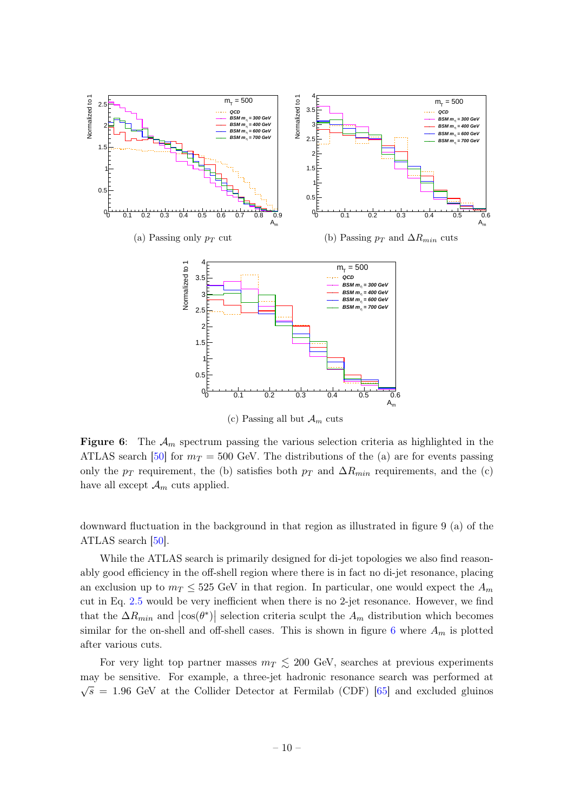<span id="page-10-0"></span>

**Figure 6:** The  $\mathcal{A}_m$  spectrum passing the various selection criteria as highlighted in the ATLAS search [\[50\]](#page-20-13) for  $m_T = 500$  GeV. The distributions of the (a) are for events passing only the  $p_T$  requirement, the (b) satisfies both  $p_T$  and  $\Delta R_{min}$  requirements, and the (c) have all except  $\mathcal{A}_m$  cuts applied.

downward fluctuation in the background in that region as illustrated in figure 9 (a) of the ATLAS search [\[50\]](#page-20-13).

While the ATLAS search is primarily designed for di-jet topologies we also find reasonably good efficiency in the off-shell region where there is in fact no di-jet resonance, placing an exclusion up to  $m_T \leq 525$  GeV in that region. In particular, one would expect the  $A_m$ cut in Eq. [2.5](#page-9-0) would be very inefficient when there is no 2-jet resonance. However, we find that the  $\Delta R_{min}$  and  $|\cos(\theta^*)|$  selection criteria sculpt the  $A_m$  distribution which becomes similar for the on-shell and off-shell cases. This is shown in figure [6](#page-10-0) where  $A_m$  is plotted after various cuts.

For very light top partner masses  $m<sub>T</sub> \le 200$  GeV, searches at previous experiments may be sensitive. For example, a three-jet hadronic resonance search was performed at  $\sqrt{s}$  = 1.96 GeV at the Collider Detector at Fermilab (CDF) [\[65\]](#page-21-11) and excluded gluinos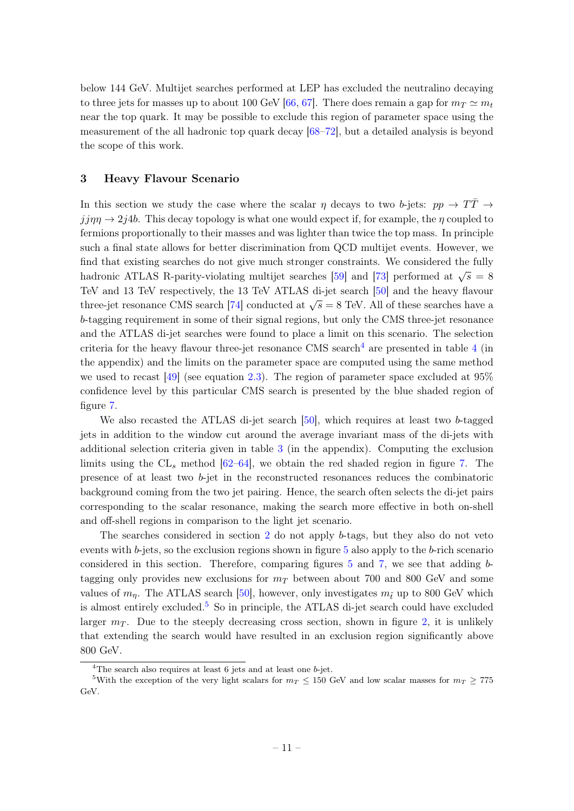below 144 GeV. Multijet searches performed at LEP has excluded the neutralino decaying to three jets for masses up to about 100 GeV [\[66,](#page-21-12) [67\]](#page-21-13). There does remain a gap for  $m_T \simeq m_t$ near the top quark. It may be possible to exclude this region of parameter space using the measurement of the all hadronic top quark decay [\[68–](#page-21-14)[72\]](#page-21-15), but a detailed analysis is beyond the scope of this work.

#### <span id="page-11-0"></span>3 Heavy Flavour Scenario

In this section we study the case where the scalar  $\eta$  decays to two b-jets:  $pp \rightarrow T\bar{T} \rightarrow$  $jj\eta\eta \to 2j4b$ . This decay topology is what one would expect if, for example, the  $\eta$  coupled to fermions proportionally to their masses and was lighter than twice the top mass. In principle such a final state allows for better discrimination from QCD multijet events. However, we find that existing searches do not give much stronger constraints. We considered the fully hadronic ATLAS R-parity-violating multijet searches [\[59\]](#page-21-6) and [\[73\]](#page-22-0) performed at  $\sqrt{s} = 8$ TeV and 13 TeV respectively, the 13 TeV ATLAS di-jet search [\[50\]](#page-20-13) and the heavy flavour three-jet resonance CMS search [\[74\]](#page-22-1) conducted at  $\sqrt{s} = 8$  TeV. All of these searches have a b-tagging requirement in some of their signal regions, but only the CMS three-jet resonance and the ATLAS di-jet searches were found to place a limit on this scenario. The selection criteria for the heavy flavour three-jet resonance CMS search<sup>[4](#page-17-1)</sup> are presented in table 4 (in the appendix) and the limits on the parameter space are computed using the same method we used to recast [\[49\]](#page-20-12) (see equation [2.3\)](#page-6-1). The region of parameter space excluded at 95% confidence level by this particular CMS search is presented by the blue shaded region of figure [7.](#page-12-0)

We also recasted the ATLAS di-jet search [\[50\]](#page-20-13), which requires at least two b-tagged jets in addition to the window cut around the average invariant mass of the di-jets with additional selection criteria given in table [3](#page-16-2) (in the appendix). Computing the exclusion limits using the  $CL<sub>s</sub>$  method [\[62](#page-21-9)[–64\]](#page-21-10), we obtain the red shaded region in figure [7.](#page-12-0) The presence of at least two b-jet in the reconstructed resonances reduces the combinatoric background coming from the two jet pairing. Hence, the search often selects the di-jet pairs corresponding to the scalar resonance, making the search more effective in both on-shell and off-shell regions in comparison to the light jet scenario.

The searches considered in section [2](#page-3-0) do not apply b-tags, but they also do not veto events with b-jets, so the exclusion regions shown in figure [5](#page-8-1) also apply to the b-rich scenario considered in this section. Therefore, comparing figures [5](#page-8-1) and [7,](#page-12-0) we see that adding btagging only provides new exclusions for  $m<sub>T</sub>$  between about 700 and 800 GeV and some values of  $m_n$ . The ATLAS search [\[50\]](#page-20-13), however, only investigates  $m_i$  up to 800 GeV which is almost entirely excluded.<sup>[5](#page-11-2)</sup> So in principle, the ATLAS di-jet search could have excluded larger  $m<sub>T</sub>$ . Due to the steeply decreasing cross section, shown in figure [2,](#page-4-1) it is unlikely that extending the search would have resulted in an exclusion region significantly above 800 GeV.

<span id="page-11-2"></span><span id="page-11-1"></span> $4$ The search also requires at least 6 jets and at least one  $b$ -jet.

<sup>&</sup>lt;sup>5</sup>With the exception of the very light scalars for  $m_T \le 150$  GeV and low scalar masses for  $m_T \ge 775$ GeV.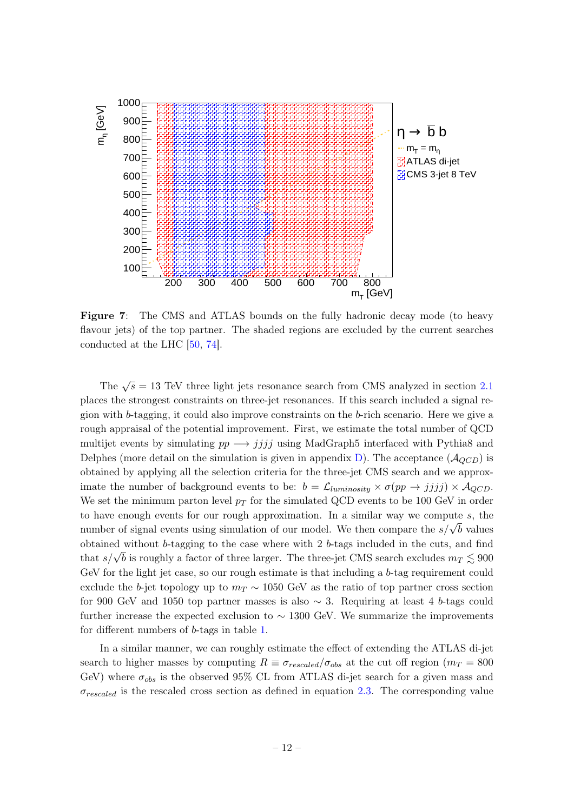<span id="page-12-0"></span>

Figure 7: The CMS and ATLAS bounds on the fully hadronic decay mode (to heavy flavour jets) of the top partner. The shaded regions are excluded by the current searches conducted at the LHC [\[50,](#page-20-13) [74\]](#page-22-1).

The  $\sqrt{s} = 13$  TeV three light jets resonance search from CMS analyzed in section [2.1](#page-4-0) places the strongest constraints on three-jet resonances. If this search included a signal region with b-tagging, it could also improve constraints on the b-rich scenario. Here we give a rough appraisal of the potential improvement. First, we estimate the total number of QCD multijet events by simulating  $pp \rightarrow jjjj$  using MadGraph5 interfaced with Pythia8 and Delphes (more detail on the simulation is given in appendix [D\)](#page-17-0). The acceptance  $(\mathcal{A}_{QCD})$  is obtained by applying all the selection criteria for the three-jet CMS search and we approximate the number of background events to be:  $b = \mathcal{L}_{luminosity} \times \sigma(pp \to jjjj) \times \mathcal{A}_{QCD}$ . We set the minimum parton level  $p_T$  for the simulated QCD events to be 100 GeV in order to have enough events for our rough approximation. In a similar way we compute s, the number of signal events using simulation of our model. We then compare the  $s/\sqrt{b}$  values obtained without b-tagging to the case where with 2 b-tags included in the cuts, and find obtained without b-tagging to the case where with 2 b-tags included in the cuts, and find<br>that  $s/\sqrt{b}$  is roughly a factor of three larger. The three-jet CMS search excludes  $m_T \lesssim 900$ GeV for the light jet case, so our rough estimate is that including a  $b$ -tag requirement could exclude the b-jet topology up to  $m<sub>T</sub> \sim 1050$  GeV as the ratio of top partner cross section for 900 GeV and 1050 top partner masses is also  $\sim$  3. Requiring at least 4 b-tags could further increase the expected exclusion to  $\sim 1300$  GeV. We summarize the improvements for different numbers of b-tags in table [1.](#page-13-2)

In a similar manner, we can roughly estimate the effect of extending the ATLAS di-jet search to higher masses by computing  $R \equiv \sigma_{rescaled}/\sigma_{obs}$  at the cut off region  $(m_T = 800$ GeV) where  $\sigma_{obs}$  is the observed 95% CL from ATLAS di-jet search for a given mass and  $\sigma_{rescaled}$  is the rescaled cross section as defined in equation [2.3.](#page-6-1) The corresponding value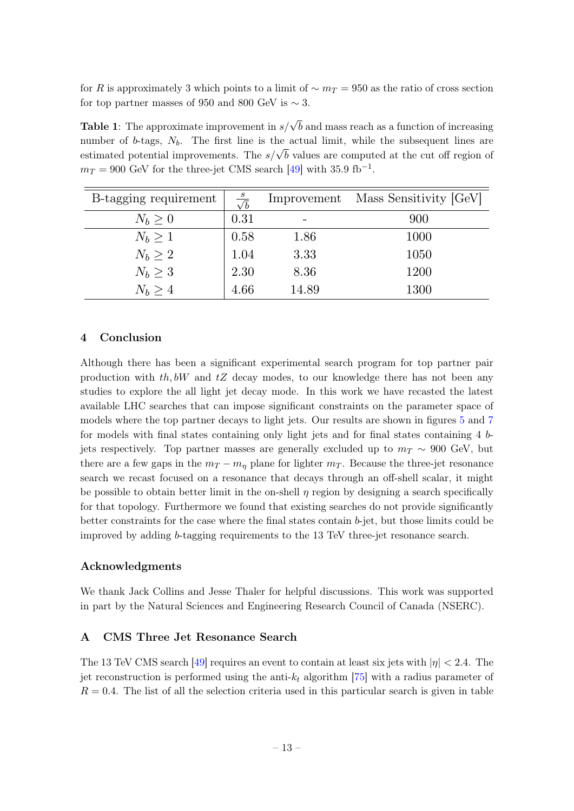for R is approximately 3 which points to a limit of  $\sim m_T = 950$  as the ratio of cross section for top partner masses of 950 and 800 GeV is  $\sim$  3.

<span id="page-13-2"></span>**Table 1**: The approximate improvement in  $s/\sqrt{b}$  and mass reach as a function of increasing number of b-tags,  $N_b$ . The first line is the actual limit, while the subsequent lines are manner or  $\sigma$ -tags,  $N_b$ . The first line is the actual finite, while the subsequent lines are estimated potential improvements. The  $s/\sqrt{b}$  values are computed at the cut off region of  $m_T = 900$  GeV for the three-jet CMS search [\[49\]](#page-20-12) with 35.9 fb<sup>-1</sup>.

| B-tagging requirement | $\frac{s}{\sqrt{b}}$ | Improvement | Mass Sensitivity [GeV] |
|-----------------------|----------------------|-------------|------------------------|
| $N_b \geq 0$          | 0.31                 |             | 900                    |
| $N_b \geq 1$          | 0.58                 | 1.86        | 1000                   |
| $N_b \geq 2$          | 1.04                 | 3.33        | 1050                   |
| $N_b \geq 3$          | 2.30                 | 8.36        | 1200                   |
| $N_b \geq 4$          | 4.66                 | 14.89       | 1300                   |

### <span id="page-13-0"></span>4 Conclusion

Although there has been a significant experimental search program for top partner pair production with  $th, bW$  and  $tZ$  decay modes, to our knowledge there has not been any studies to explore the all light jet decay mode. In this work we have recasted the latest available LHC searches that can impose significant constraints on the parameter space of models where the top partner decays to light jets. Our results are shown in figures [5](#page-8-1) and [7](#page-12-0) for models with final states containing only light jets and for final states containing 4 bjets respectively. Top partner masses are generally excluded up to  $m<sub>T</sub> \sim 900$  GeV, but there are a few gaps in the  $m_T - m_\eta$  plane for lighter  $m_T$ . Because the three-jet resonance search we recast focused on a resonance that decays through an off-shell scalar, it might be possible to obtain better limit in the on-shell  $\eta$  region by designing a search specifically for that topology. Furthermore we found that existing searches do not provide significantly better constraints for the case where the final states contain  $b$ -jet, but those limits could be improved by adding b-tagging requirements to the 13 TeV three-jet resonance search.

#### Acknowledgments

We thank Jack Collins and Jesse Thaler for helpful discussions. This work was supported in part by the Natural Sciences and Engineering Research Council of Canada (NSERC).

# <span id="page-13-1"></span>A CMS Three Jet Resonance Search

The 13 TeV CMS search [\[49\]](#page-20-12) requires an event to contain at least six jets with  $|\eta| < 2.4$ . The jet reconstruction is performed using the anti- $k_t$  algorithm [\[75\]](#page-22-2) with a radius parameter of  $R = 0.4$ . The list of all the selection criteria used in this particular search is given in table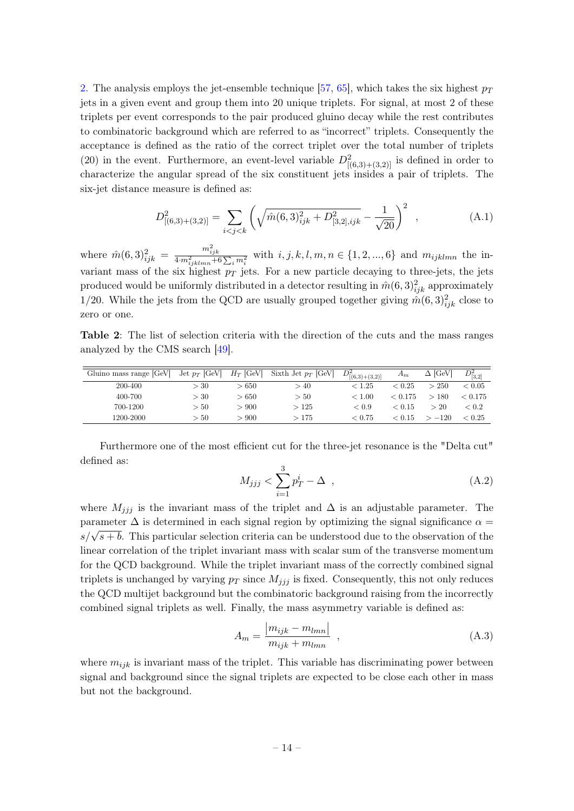[2.](#page-14-0) The analysis employs the jet-ensemble technique [\[57,](#page-21-4) [65\]](#page-21-11), which takes the six highest  $p_T$ jets in a given event and group them into 20 unique triplets. For signal, at most 2 of these triplets per event corresponds to the pair produced gluino decay while the rest contributes to combinatoric background which are referred to as "incorrect" triplets. Consequently the acceptance is defined as the ratio of the correct triplet over the total number of triplets (20) in the event. Furthermore, an event-level variable  $D^2_{[(6,3)+(3,2)]}$  is defined in order to characterize the angular spread of the six constituent jets insides a pair of triplets. The six-jet distance measure is defined as:

$$
D_{[(6,3)+(3,2)]}^2 = \sum_{i < j < k} \left( \sqrt{\hat{m}(6,3)_{ijk}^2 + D_{[3,2],ijk}^2} - \frac{1}{\sqrt{20}} \right)^2 \tag{A.1}
$$

where  $\hat{m}(6,3)_{ijk}^2 = \frac{m_{ijk}^2}{4 \cdot m_{ijklmn}^2 + 6 \sum_i m_i^2}$  with  $i, j, k, l, m, n \in \{1, 2, ..., 6\}$  and  $m_{ijklmn}$  the invariant mass of the six highest  $p_T$  jets. For a new particle decaying to three-jets, the jets produced would be uniformly distributed in a detector resulting in  $\hat{m}(6,3)_{ijk}^2$  approximately 1/20. While the jets from the QCD are usually grouped together giving  $\hat{m}(6,3)_{ijk}^2$  close to zero or one.

<span id="page-14-0"></span>Table 2: The list of selection criteria with the direction of the cuts and the mass ranges analyzed by the CMS search [\[49\]](#page-20-12).

| Gluino mass range [GeV] | Jet $p_T$ [GeV] $H_T$ [GeV] |       | Sixth Jet $p_T$ [GeV] | $D^2_{[(6,3)+(3,2)]}$ | $A_m$   | $\Delta$ [GeV] | $D^2_{[3,2]}$ |
|-------------------------|-----------------------------|-------|-----------------------|-----------------------|---------|----------------|---------------|
| 200-400                 | >30                         | >650  | > 40                  | < 1.25                | < 0.25  | > 250          | ${}< 0.05$    |
| 400-700                 | >30                         | >650  | >50                   | < 1.00                | < 0.175 | >180           | < 0.175       |
| 700-1200                | >50                         | > 900 | >125                  | ${}_{< 0.9}$          | < 0.15  | >20            | < 0.2         |
| 1200-2000               | >50                         | > 900 | >175                  | ${}< 0.75$            | < 0.15  | $-120$         | ${}< 0.25$    |
|                         |                             |       |                       |                       |         |                |               |

Furthermore one of the most efficient cut for the three-jet resonance is the "Delta cut" defined as:

$$
M_{jjj} < \sum_{i=1}^{3} p_T^i - \Delta \quad , \tag{A.2}
$$

where  $M_{jjj}$  is the invariant mass of the triplet and  $\Delta$  is an adjustable parameter. The parameter  $\Delta$  is determined in each signal region by optimizing the signal significance  $\alpha =$ parameter  $\Delta$  is determined in each signar region by optimizing the signar significance  $\alpha = s/\sqrt{s+b}$ . This particular selection criteria can be understood due to the observation of the linear correlation of the triplet invariant mass with scalar sum of the transverse momentum for the QCD background. While the triplet invariant mass of the correctly combined signal triplets is unchanged by varying  $p_T$  since  $M_{jjj}$  is fixed. Consequently, this not only reduces the QCD multijet background but the combinatoric background raising from the incorrectly combined signal triplets as well. Finally, the mass asymmetry variable is defined as:

$$
A_m = \frac{|m_{ijk} - m_{lmn}|}{m_{ijk} + m_{lmn}} \tag{A.3}
$$

where  $m_{ijk}$  is invariant mass of the triplet. This variable has discriminating power between signal and background since the signal triplets are expected to be close each other in mass but not the background.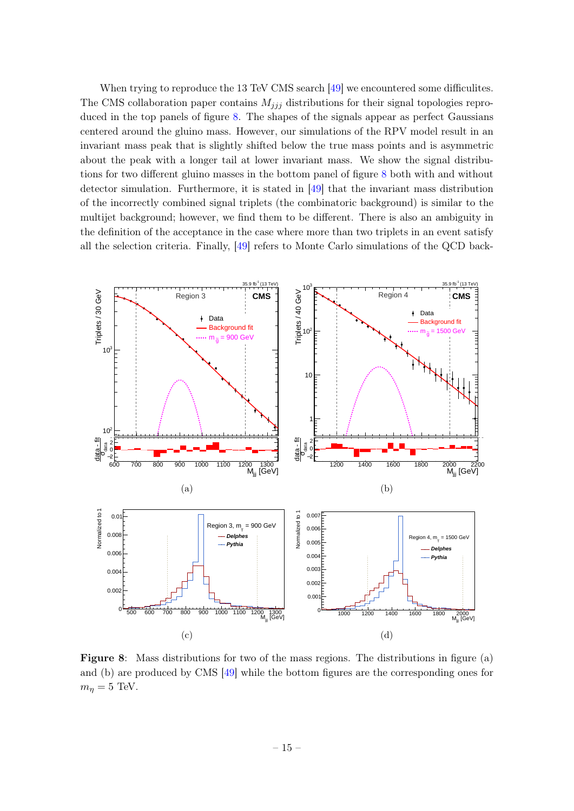When trying to reproduce the 13 TeV CMS search [\[49\]](#page-20-12) we encountered some difficulities. The CMS collaboration paper contains  $M_{ijj}$  distributions for their signal topologies reproduced in the top panels of figure [8.](#page-15-0) The shapes of the signals appear as perfect Gaussians centered around the gluino mass. However, our simulations of the RPV model result in an invariant mass peak that is slightly shifted below the true mass points and is asymmetric about the peak with a longer tail at lower invariant mass. We show the signal distributions for two different gluino masses in the bottom panel of figure [8](#page-15-0) both with and without detector simulation. Furthermore, it is stated in [\[49\]](#page-20-12) that the invariant mass distribution of the incorrectly combined signal triplets (the combinatoric background) is similar to the multijet background; however, we find them to be different. There is also an ambiguity in the definition of the acceptance in the case where more than two triplets in an event satisfy all the selection criteria. Finally, [\[49\]](#page-20-12) refers to Monte Carlo simulations of the QCD back-

<span id="page-15-0"></span>

Figure 8: Mass distributions for two of the mass regions. The distributions in figure (a) and (b) are produced by CMS [\[49\]](#page-20-12) while the bottom figures are the corresponding ones for  $m_{\eta} = 5$  TeV.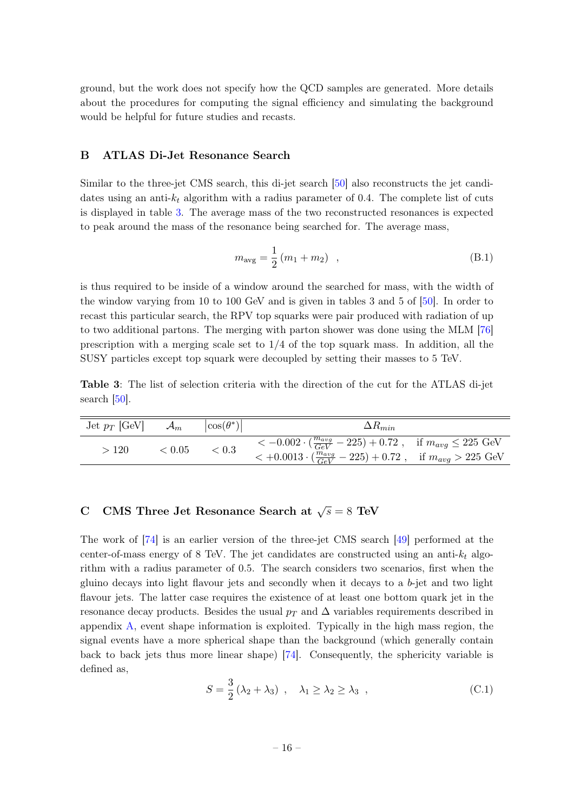ground, but the work does not specify how the QCD samples are generated. More details about the procedures for computing the signal efficiency and simulating the background would be helpful for future studies and recasts.

#### <span id="page-16-0"></span>B ATLAS Di-Jet Resonance Search

Similar to the three-jet CMS search, this di-jet search [\[50\]](#page-20-13) also reconstructs the jet candidates using an anti- $k_t$  algorithm with a radius parameter of 0.4. The complete list of cuts is displayed in table [3.](#page-16-2) The average mass of the two reconstructed resonances is expected to peak around the mass of the resonance being searched for. The average mass,

$$
m_{\text{avg}} = \frac{1}{2} (m_1 + m_2) \quad , \tag{B.1}
$$

is thus required to be inside of a window around the searched for mass, with the width of the window varying from 10 to 100 GeV and is given in tables 3 and 5 of [\[50\]](#page-20-13). In order to recast this particular search, the RPV top squarks were pair produced with radiation of up to two additional partons. The merging with parton shower was done using the MLM [\[76\]](#page-22-3) prescription with a merging scale set to  $1/4$  of the top squark mass. In addition, all the SUSY particles except top squark were decoupled by setting their masses to 5 TeV.

<span id="page-16-2"></span>Table 3: The list of selection criteria with the direction of the cut for the ATLAS di-jet search [\[50\]](#page-20-13).

| Jet $p_T$ [GeV] | $\mathcal{A}_m$ | $ \cos(\theta^*) $ | $\Delta R_{min}$                                                                                                                                               |  |
|-----------------|-----------------|--------------------|----------------------------------------------------------------------------------------------------------------------------------------------------------------|--|
| >120            | < 0.05          | < 0.3              | $<-0.002 \cdot (\frac{m_{avg}}{GeV} - 225) + 0.72$ , if $m_{avg} \le 225$ GeV<br>$< +0.0013 \cdot (\frac{m_{avg}}{GeV} - 225) + 0.72$ , if $m_{avg} > 225$ GeV |  |

# <span id="page-16-1"></span>C CMS Three Jet Resonance Search at  $\sqrt{s} = 8$  TeV

The work of [\[74\]](#page-22-1) is an earlier version of the three-jet CMS search [\[49\]](#page-20-12) performed at the center-of-mass energy of 8 TeV. The jet candidates are constructed using an anti- $k_t$  algorithm with a radius parameter of 0.5. The search considers two scenarios, first when the gluino decays into light flavour jets and secondly when it decays to a  $b$ -jet and two light flavour jets. The latter case requires the existence of at least one bottom quark jet in the resonance decay products. Besides the usual  $p<sub>T</sub>$  and  $\Delta$  variables requirements described in appendix [A,](#page-13-1) event shape information is exploited. Typically in the high mass region, the signal events have a more spherical shape than the background (which generally contain back to back jets thus more linear shape) [\[74\]](#page-22-1). Consequently, the sphericity variable is defined as,

$$
S = \frac{3}{2} (\lambda_2 + \lambda_3) , \quad \lambda_1 \ge \lambda_2 \ge \lambda_3 , \qquad (C.1)
$$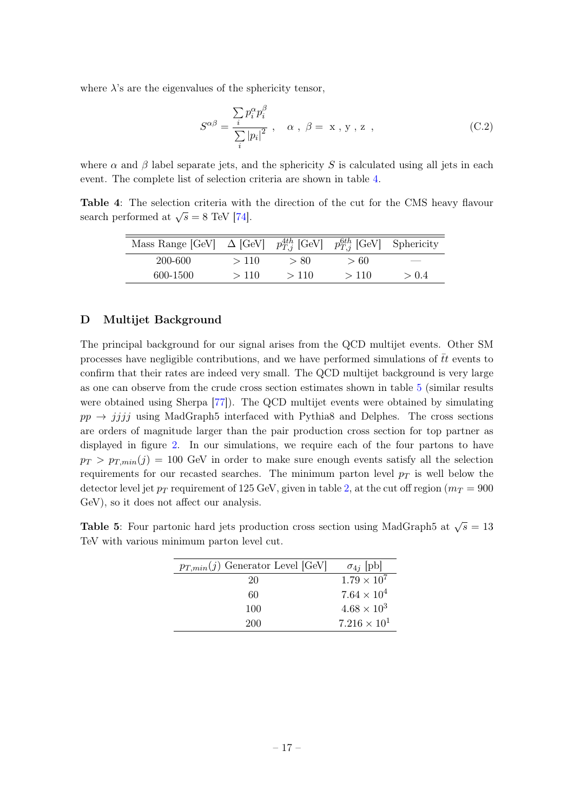where  $\lambda$ 's are the eigenvalues of the sphericity tensor,

$$
S^{\alpha\beta} = \frac{\sum_{i} p_i^{\alpha} p_i^{\beta}}{\sum_{i} |p_i|^2}, \quad \alpha, \beta = x, y, z \quad , \tag{C.2}
$$

where  $\alpha$  and  $\beta$  label separate jets, and the sphericity S is calculated using all jets in each event. The complete list of selection criteria are shown in table [4.](#page-17-1)

<span id="page-17-1"></span>Table 4: The selection criteria with the direction of the cut for the CMS heavy flavour search performed at  $\sqrt{s} = 8$  TeV [\[74\]](#page-22-1).

| Mass Range [GeV] $\Delta$ [GeV] $p_{T,i}^{4th}$ [GeV] $p_{T,i}^{6th}$ [GeV] Sphericity |      |      |      |       |
|----------------------------------------------------------------------------------------|------|------|------|-------|
| 200-600                                                                                | >110 | > 80 | >60  |       |
| 600-1500                                                                               | >110 | >110 | >110 | > 0.4 |

# <span id="page-17-0"></span>D Multijet Background

The principal background for our signal arises from the QCD multijet events. Other SM processes have negligible contributions, and we have performed simulations of  $\bar{t}t$  events to confirm that their rates are indeed very small. The QCD multijet background is very large as one can observe from the crude cross section estimates shown in table [5](#page-17-2) (similar results were obtained using Sherpa [\[77\]](#page-22-4)). The QCD multijet events were obtained by simulating  $pp \rightarrow jjjj$  using MadGraph5 interfaced with Pythia8 and Delphes. The cross sections are orders of magnitude larger than the pair production cross section for top partner as displayed in figure [2.](#page-4-1) In our simulations, we require each of the four partons to have  $p_T > p_{T,min}(j) = 100$  GeV in order to make sure enough events satisfy all the selection requirements for our recasted searches. The minimum parton level  $p_T$  is well below the detector level jet  $p_T$  requirement of 125 GeV, given in table [2,](#page-14-0) at the cut off region ( $m_T = 900$ ) GeV), so it does not affect our analysis.

<span id="page-17-2"></span>**Table 5**: Four partonic hard jets production cross section using MadGraph5 at  $\sqrt{s} = 13$ TeV with various minimum parton level cut.

| $p_{T,min}(j)$ Generator Level [GeV] | $\sigma_{4j}$ [pb]    |
|--------------------------------------|-----------------------|
| 20                                   | $1.79 \times 10^{7}$  |
| 60                                   | $7.64 \times 10^{4}$  |
| 100                                  | $4.68 \times 10^{3}$  |
| 200                                  | $7.216 \times 10^{1}$ |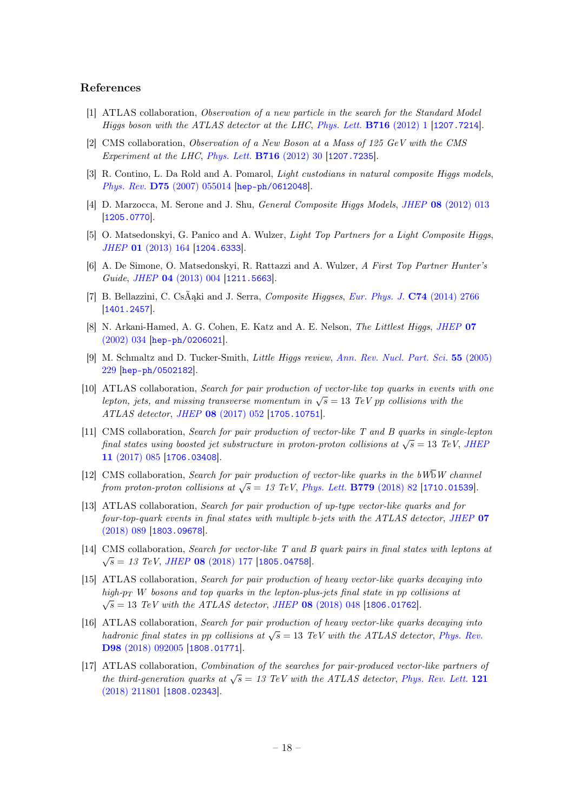#### References

- <span id="page-18-0"></span>[1] ATLAS collaboration, Observation of a new particle in the search for the Standard Model Higgs boson with the ATLAS detector at the LHC, [Phys. Lett.](https://doi.org/10.1016/j.physletb.2012.08.020) **B716** (2012) 1 [[1207.7214](https://arxiv.org/abs/1207.7214)].
- <span id="page-18-1"></span>[2] CMS collaboration, Observation of a New Boson at a Mass of 125 GeV with the CMS Experiment at the LHC, [Phys. Lett.](https://doi.org/10.1016/j.physletb.2012.08.021) B716 (2012) 30 [[1207.7235](https://arxiv.org/abs/1207.7235)].
- <span id="page-18-2"></span>[3] R. Contino, L. Da Rold and A. Pomarol, *Light custodians in natural composite Higgs models*, Phys. Rev. D75 [\(2007\) 055014](https://doi.org/10.1103/PhysRevD.75.055014) [[hep-ph/0612048](https://arxiv.org/abs/hep-ph/0612048)].
- [4] D. Marzocca, M. Serone and J. Shu, General Composite Higgs Models, JHEP 08 [\(2012\) 013](https://doi.org/10.1007/JHEP08(2012)013) [[1205.0770](https://arxiv.org/abs/1205.0770)].
- [5] O. Matsedonskyi, G. Panico and A. Wulzer, Light Top Partners for a Light Composite Higgs, JHEP 01 [\(2013\) 164](https://doi.org/10.1007/JHEP01(2013)164) [[1204.6333](https://arxiv.org/abs/1204.6333)].
- [6] A. De Simone, O. Matsedonskyi, R. Rattazzi and A. Wulzer, A First Top Partner Hunter's Guide, JHEP 04 [\(2013\) 004](https://doi.org/10.1007/JHEP04(2013)004) [[1211.5663](https://arxiv.org/abs/1211.5663)].
- <span id="page-18-3"></span>[7] B. Bellazzini, C. CsÃąki and J. Serra, Composite Higgses, [Eur. Phys. J.](https://doi.org/10.1140/epjc/s10052-014-2766-x) C74 (2014) 2766 [[1401.2457](https://arxiv.org/abs/1401.2457)].
- <span id="page-18-4"></span>[8] N. Arkani-Hamed, A. G. Cohen, E. Katz and A. E. Nelson, The Littlest Higgs, [JHEP](https://doi.org/10.1088/1126-6708/2002/07/034) 07 [\(2002\) 034](https://doi.org/10.1088/1126-6708/2002/07/034) [[hep-ph/0206021](https://arxiv.org/abs/hep-ph/0206021)].
- <span id="page-18-5"></span>[9] M. Schmaltz and D. Tucker-Smith, Little Higgs review, [Ann. Rev. Nucl. Part. Sci.](https://doi.org/10.1146/annurev.nucl.55.090704.151502) 55 (2005) [229](https://doi.org/10.1146/annurev.nucl.55.090704.151502) [[hep-ph/0502182](https://arxiv.org/abs/hep-ph/0502182)].
- <span id="page-18-6"></span>[10] ATLAS collaboration, Search for pair production of vector-like top quarks in events with one lepton, jets, and missing transverse momentum in  $\sqrt{s} = 13$  TeV pp collisions with the ATLAS detector, JHEP 08 [\(2017\) 052](https://doi.org/10.1007/JHEP08(2017)052) [[1705.10751](https://arxiv.org/abs/1705.10751)].
- [11] CMS collaboration, Search for pair production of vector-like T and B quarks in single-lepton final states using boosted jet substructure in proton-proton collisions at  $\sqrt{s} = 13$  TeV, JHEF 11 [\(2017\) 085](https://doi.org/10.1007/JHEP11(2017)085) [[1706.03408](https://arxiv.org/abs/1706.03408)].
- [12] CMS collaboration, Search for pair production of vector-like quarks in the  $bW\overline{b}W$  channel from proton-proton collisions at  $\sqrt{s} = 13$  TeV, [Phys. Lett.](https://doi.org/10.1016/j.physletb.2018.01.077) **B779** (2018) 82 [[1710.01539](https://arxiv.org/abs/1710.01539)].
- [13] ATLAS collaboration, Search for pair production of up-type vector-like quarks and for four-top-quark events in final states with multiple b-jets with the ATLAS detector, [JHEP](https://doi.org/10.1007/JHEP07(2018)089) 07 [\(2018\) 089](https://doi.org/10.1007/JHEP07(2018)089) [[1803.09678](https://arxiv.org/abs/1803.09678)].
- <span id="page-18-7"></span>[14] CMS collaboration, Search for vector-like T and B quark pairs in final states with leptons at  $\sqrt{s}$  = 13 TeV, JHEP 08 [\(2018\) 177](https://doi.org/10.1007/JHEP08(2018)177) [[1805.04758](https://arxiv.org/abs/1805.04758)].
- [15] ATLAS collaboration, Search for pair production of heavy vector-like quarks decaying into high-p<sub>T</sub> W bosons and top quarks in the lepton-plus-jets final state in pp collisions at  $\sqrt{s} = 13$  TeV with the ATLAS detector, JHEP 08 [\(2018\) 048](https://doi.org/10.1007/JHEP08(2018)048) [[1806.01762](https://arxiv.org/abs/1806.01762)].
- <span id="page-18-8"></span>[16] ATLAS collaboration, Search for pair production of heavy vector-like quarks decaying into hadronic final states in pp collisions at  $\sqrt{s} = 13$  TeV with the ATLAS detector, [Phys. Rev.](https://doi.org/10.1103/PhysRevD.98.092005) D98 [\(2018\) 092005](https://doi.org/10.1103/PhysRevD.98.092005) [[1808.01771](https://arxiv.org/abs/1808.01771)].
- <span id="page-18-9"></span>[17] ATLAS collaboration, Combination of the searches for pair-produced vector-like partners of the third-generation quarks at  $\sqrt{s} = 13$  TeV with the ATLAS detector, [Phys. Rev. Lett.](https://doi.org/10.1103/PhysRevLett.121.211801) 121 [\(2018\) 211801](https://doi.org/10.1103/PhysRevLett.121.211801) [[1808.02343](https://arxiv.org/abs/1808.02343)].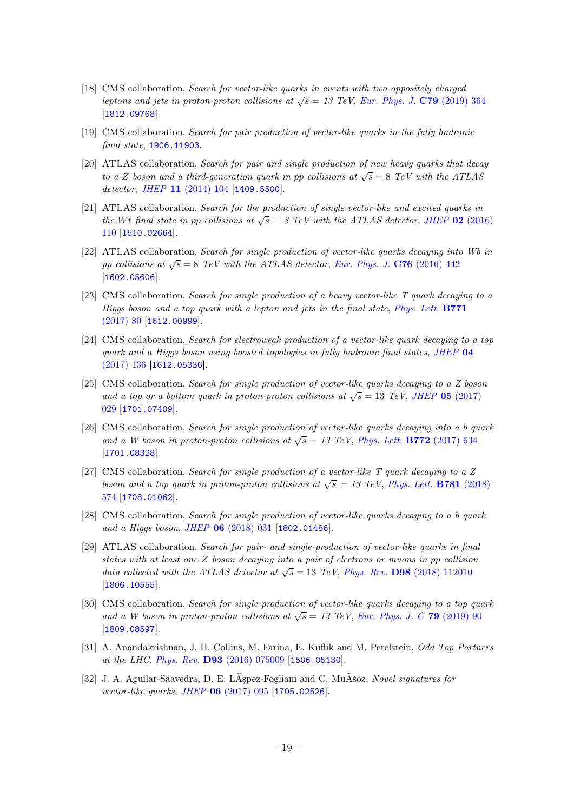- [18] CMS collaboration, Search for vector-like quarks in events with two oppositely charged Leptons and jets in proton-proton collisions at  $\sqrt{s} = 13$  TeV, [Eur. Phys. J.](https://doi.org/10.1140/epjc/s10052-019-6855-8) C79 (2019) 364 [[1812.09768](https://arxiv.org/abs/1812.09768)].
- <span id="page-19-0"></span>[19] CMS collaboration, Search for pair production of vector-like quarks in the fully hadronic final state, [1906.11903](https://arxiv.org/abs/1906.11903).
- <span id="page-19-1"></span>[20] ATLAS collaboration, Search for pair and single production of new heavy quarks that decay to a Z boson and a third-generation quark in pp collisions at  $\sqrt{s} = 8$  TeV with the ATLAS detector, JHEP 11 [\(2014\) 104](https://doi.org/10.1007/JHEP11(2014)104) [[1409.5500](https://arxiv.org/abs/1409.5500)].
- [21] ATLAS collaboration, Search for the production of single vector-like and excited quarks in the Wt final state in pp collisions at  $\sqrt{s} = 8$  TeV with the ATLAS detector, JHEP 02 [\(2016\)](https://doi.org/10.1007/JHEP02(2016)110) [110](https://doi.org/10.1007/JHEP02(2016)110) [[1510.02664](https://arxiv.org/abs/1510.02664)].
- [22] ATLAS collaboration, Search for single production of vector-like quarks decaying into Wb in pp collisions at  $\sqrt{s} = 8$  TeV with the ATLAS detector, [Eur. Phys. J.](https://doi.org/10.1140/epjc/s10052-016-4281-8) C76 (2016) 442 [[1602.05606](https://arxiv.org/abs/1602.05606)].
- [23] CMS collaboration, Search for single production of a heavy vector-like T quark decaying to a Higgs boson and a top quark with a lepton and jets in the final state, [Phys. Lett.](https://doi.org/10.1016/j.physletb.2017.05.019) B771 [\(2017\) 80](https://doi.org/10.1016/j.physletb.2017.05.019) [[1612.00999](https://arxiv.org/abs/1612.00999)].
- [24] CMS collaboration, Search for electroweak production of a vector-like quark decaying to a top quark and a Higgs boson using boosted topologies in fully hadronic final states, [JHEP](https://doi.org/10.1007/JHEP04(2017)136) 04 [\(2017\) 136](https://doi.org/10.1007/JHEP04(2017)136) [[1612.05336](https://arxiv.org/abs/1612.05336)].
- [25] CMS collaboration, Search for single production of vector-like quarks decaying to a Z boson and a top or a bottom quark in proton-proton collisions at  $\sqrt{s} = 13$  TeV, JHEP 05 [\(2017\)](https://doi.org/10.1007/JHEP05(2017)029) [029](https://doi.org/10.1007/JHEP05(2017)029) [[1701.07409](https://arxiv.org/abs/1701.07409)].
- [26] CMS collaboration, Search for single production of vector-like quarks decaying into a b quark and a W boson in proton-proton collisions at  $\sqrt{s} = 13$  TeV, [Phys. Lett.](https://doi.org/10.1016/j.physletb.2017.07.022) **B772** (2017) 634 [[1701.08328](https://arxiv.org/abs/1701.08328)].
- [27] CMS collaboration, Search for single production of a vector-like T quark decaying to a Z boson and a top quark in proton-proton collisions at  $\sqrt{s} = 13$  TeV, [Phys. Lett.](https://doi.org/10.1016/j.physletb.2018.04.036) **B781** (2018) [574](https://doi.org/10.1016/j.physletb.2018.04.036) [[1708.01062](https://arxiv.org/abs/1708.01062)].
- [28] CMS collaboration, Search for single production of vector-like quarks decaying to a b quark and a Higgs boson, JHEP 06 [\(2018\) 031](https://doi.org/10.1007/JHEP06(2018)031) [[1802.01486](https://arxiv.org/abs/1802.01486)].
- [29] ATLAS collaboration, Search for pair- and single-production of vector-like quarks in final states with at least one Z boson decaying into a pair of electrons or muons in pp collision data collected with the ATLAS detector at  $\sqrt{s} = 13$  TeV, Phys. Rev. **D98** [\(2018\) 112010](https://doi.org/10.1103/PhysRevD.98.112010) [[1806.10555](https://arxiv.org/abs/1806.10555)].
- <span id="page-19-2"></span>[30] CMS collaboration, Search for single production of vector-like quarks decaying to a top quark and a W boson in proton-proton collisions at  $\sqrt{s} = 13$  TeV, [Eur. Phys. J. C](https://doi.org/10.1140/epjc/s10052-019-6556-3) 79 (2019) 90 [[1809.08597](https://arxiv.org/abs/1809.08597)].
- <span id="page-19-3"></span>[31] A. Anandakrishnan, J. H. Collins, M. Farina, E. Kuflik and M. Perelstein, Odd Top Partners at the LHC, Phys. Rev. D93 [\(2016\) 075009](https://doi.org/10.1103/PhysRevD.93.075009) [[1506.05130](https://arxiv.org/abs/1506.05130)].
- [32] J. A. Aguilar-Saavedra, D. E. LÃşpez-Fogliani and C. MuÃśoz, Novel signatures for vector-like quarks, JHEP 06 [\(2017\) 095](https://doi.org/10.1007/JHEP06(2017)095) [[1705.02526](https://arxiv.org/abs/1705.02526)].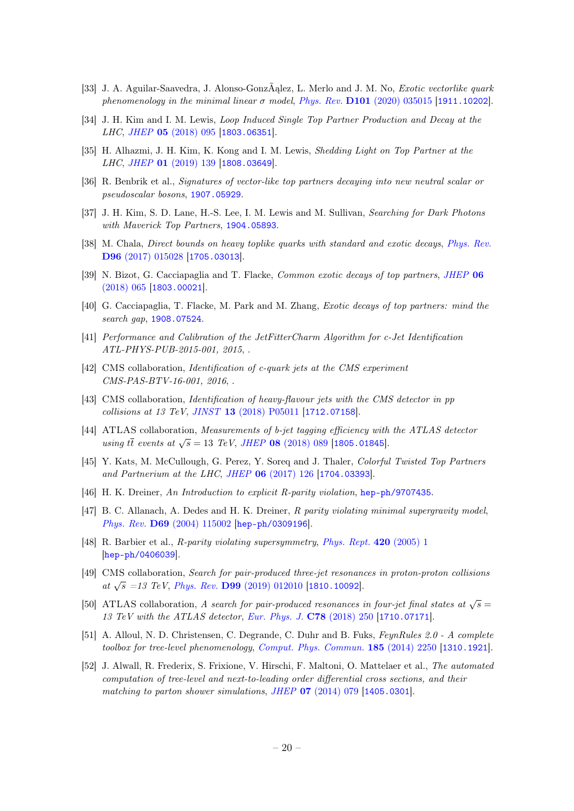- <span id="page-20-0"></span>[33] J. A. Aguilar-Saavedra, J. Alonso-GonzÃąlez, L. Merlo and J. M. No, Exotic vectorlike quark phenomenology in the minimal linear  $\sigma$  model, Phys. Rev. **D101** [\(2020\) 035015](https://doi.org/10.1103/PhysRevD.101.035015) [[1911.10202](https://arxiv.org/abs/1911.10202)].
- <span id="page-20-1"></span>[34] J. H. Kim and I. M. Lewis, Loop Induced Single Top Partner Production and Decay at the LHC, JHEP 05 [\(2018\) 095](https://doi.org/10.1007/JHEP05(2018)095) [[1803.06351](https://arxiv.org/abs/1803.06351)].
- <span id="page-20-2"></span>[35] H. Alhazmi, J. H. Kim, K. Kong and I. M. Lewis, Shedding Light on Top Partner at the LHC, JHEP **01** [\(2019\) 139](https://doi.org/10.1007/JHEP01(2019)139) [[1808.03649](https://arxiv.org/abs/1808.03649)].
- <span id="page-20-3"></span>[36] R. Benbrik et al., Signatures of vector-like top partners decaying into new neutral scalar or pseudoscalar bosons, [1907.05929](https://arxiv.org/abs/1907.05929).
- <span id="page-20-4"></span>[37] J. H. Kim, S. D. Lane, H.-S. Lee, I. M. Lewis and M. Sullivan, Searching for Dark Photons with Maverick Top Partners, [1904.05893](https://arxiv.org/abs/1904.05893).
- <span id="page-20-5"></span>[38] M. Chala, *Direct bounds on heavy toplike quarks with standard and exotic decays, [Phys. Rev.](https://doi.org/10.1103/PhysRevD.96.015028)* D96 [\(2017\) 015028](https://doi.org/10.1103/PhysRevD.96.015028) [[1705.03013](https://arxiv.org/abs/1705.03013)].
- [39] N. Bizot, G. Cacciapaglia and T. Flacke, Common exotic decays of top partners, [JHEP](https://doi.org/10.1007/JHEP06(2018)065) 06  $(2018)$  065 [[1803.00021](https://arxiv.org/abs/1803.00021)].
- <span id="page-20-6"></span>[40] G. Cacciapaglia, T. Flacke, M. Park and M. Zhang, Exotic decays of top partners: mind the search gap, [1908.07524](https://arxiv.org/abs/1908.07524).
- <span id="page-20-7"></span>[41] Performance and Calibration of the JetFitterCharm Algorithm for c-Jet Identification ATL-PHYS-PUB-2015-001, 2015, .
- [42] CMS collaboration, *Identification of c-quark jets at the CMS experiment* CMS-PAS-BTV-16-001, 2016, .
- [43] CMS collaboration, Identification of heavy-flavour jets with the CMS detector in pp collisions at 13 TeV, JINST 13 [\(2018\) P05011](https://doi.org/10.1088/1748-0221/13/05/P05011) [[1712.07158](https://arxiv.org/abs/1712.07158)].
- <span id="page-20-8"></span>[44] ATLAS collaboration, Measurements of b-jet tagging efficiency with the ATLAS detector using tt events at  $\sqrt{s} = 13$  TeV, JHEP 08 [\(2018\) 089](https://doi.org/10.1007/JHEP08(2018)089) [[1805.01845](https://arxiv.org/abs/1805.01845)].
- <span id="page-20-9"></span>[45] Y. Kats, M. McCullough, G. Perez, Y. Soreq and J. Thaler, Colorful Twisted Top Partners and Partnerium at the LHC, JHEP 06 [\(2017\) 126](https://doi.org/10.1007/JHEP06(2017)126) [[1704.03393](https://arxiv.org/abs/1704.03393)].
- <span id="page-20-10"></span>[46] H. K. Dreiner, An Introduction to explicit R-parity violation, [hep-ph/9707435](https://arxiv.org/abs/hep-ph/9707435).
- [47] B. C. Allanach, A. Dedes and H. K. Dreiner, R parity violating minimal supergravity model, Phys. Rev. D69 [\(2004\) 115002](https://doi.org/10.1103/PhysRevD.69.115002, 10.1103/PhysRevD.72.079902) [[hep-ph/0309196](https://arxiv.org/abs/hep-ph/0309196)].
- <span id="page-20-11"></span>[48] R. Barbier et al., R-parity violating supersymmetry, [Phys. Rept.](https://doi.org/10.1016/j.physrep.2005.08.006) 420 (2005) 1 [[hep-ph/0406039](https://arxiv.org/abs/hep-ph/0406039)].
- <span id="page-20-12"></span>[49] CMS collaboration, Search for pair-produced three-jet resonances in proton-proton collisions  $\alpha t \sqrt{s}$  =13 TeV, Phys. Rev. D99 [\(2019\) 012010](https://doi.org/10.1103/PhysRevD.99.012010) [[1810.10092](https://arxiv.org/abs/1810.10092)].
- <span id="page-20-13"></span>[50] ATLAS collaboration, A search for pair-produced resonances in four-jet final states at  $\sqrt{s} =$ 13 TeV with the ATLAS detector, [Eur. Phys. J.](https://doi.org/10.1140/epjc/s10052-018-5693-4) C78 (2018) 250 [[1710.07171](https://arxiv.org/abs/1710.07171)].
- <span id="page-20-14"></span>[51] A. Alloul, N. D. Christensen, C. Degrande, C. Duhr and B. Fuks, FeynRules 2.0 - A complete toolbox for tree-level phenomenology, [Comput. Phys. Commun.](https://doi.org/10.1016/j.cpc.2014.04.012) 185 (2014) 2250 [[1310.1921](https://arxiv.org/abs/1310.1921)].
- <span id="page-20-15"></span>[52] J. Alwall, R. Frederix, S. Frixione, V. Hirschi, F. Maltoni, O. Mattelaer et al., The automated computation of tree-level and next-to-leading order differential cross sections, and their matching to parton shower simulations, JHEP 07 [\(2014\) 079](https://doi.org/10.1007/JHEP07(2014)079) [[1405.0301](https://arxiv.org/abs/1405.0301)].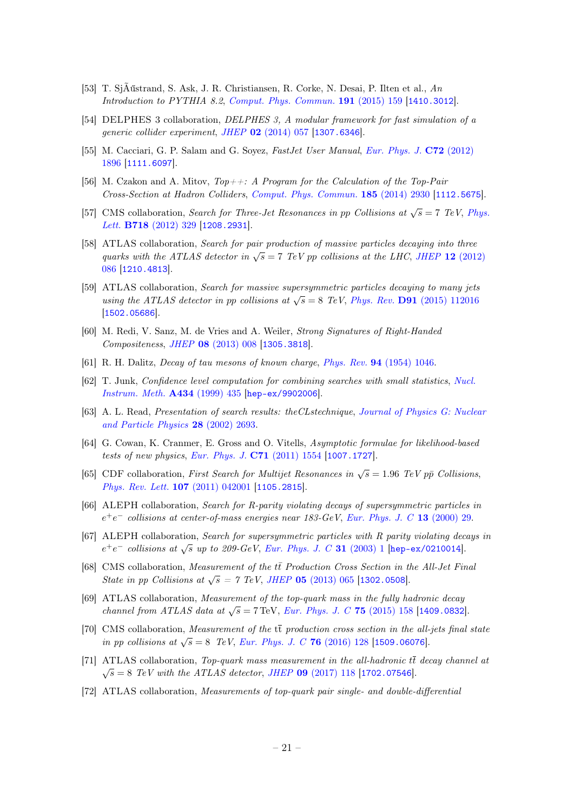- <span id="page-21-0"></span>[53] T. SjÃűstrand, S. Ask, J. R. Christiansen, R. Corke, N. Desai, P. Ilten et al., An Introduction to PYTHIA 8.2, [Comput. Phys. Commun.](https://doi.org/10.1016/j.cpc.2015.01.024) 191 (2015) 159 [[1410.3012](https://arxiv.org/abs/1410.3012)].
- <span id="page-21-1"></span>[54] DELPHES 3 collaboration, DELPHES 3, A modular framework for fast simulation of a generic collider experiment, JHEP 02 [\(2014\) 057](https://doi.org/10.1007/JHEP02(2014)057) [[1307.6346](https://arxiv.org/abs/1307.6346)].
- <span id="page-21-2"></span>[55] M. Cacciari, G. P. Salam and G. Soyez, FastJet User Manual, [Eur. Phys. J.](https://doi.org/10.1140/epjc/s10052-012-1896-2) C72 (2012) [1896](https://doi.org/10.1140/epjc/s10052-012-1896-2) [[1111.6097](https://arxiv.org/abs/1111.6097)].
- <span id="page-21-3"></span>[56] M. Czakon and A. Mitov,  $Top++:$  A Program for the Calculation of the Top-Pair Cross-Section at Hadron Colliders, [Comput. Phys. Commun.](https://doi.org/10.1016/j.cpc.2014.06.021) 185 (2014) 2930 [[1112.5675](https://arxiv.org/abs/1112.5675)].
- <span id="page-21-4"></span>[57] CMS collaboration, Search for Three-Jet Resonances in pp Collisions at  $\sqrt{s} = 7$  TeV, [Phys.](https://doi.org/10.1016/j.physletb.2012.10.048) Lett. B718 [\(2012\) 329](https://doi.org/10.1016/j.physletb.2012.10.048) [[1208.2931](https://arxiv.org/abs/1208.2931)].
- <span id="page-21-5"></span>[58] ATLAS collaboration, Search for pair production of massive particles decaying into three quarks with the ATLAS detector in  $\sqrt{s} = 7$  TeV pp collisions at the LHC, JHEP 12 [\(2012\)](https://doi.org/10.1007/JHEP12(2012)086) [086](https://doi.org/10.1007/JHEP12(2012)086) [[1210.4813](https://arxiv.org/abs/1210.4813)].
- <span id="page-21-6"></span>[59] ATLAS collaboration, Search for massive supersymmetric particles decaying to many jets using the ATLAS detector in pp collisions at  $\sqrt{s} = 8$  TeV, Phys. Rev. **D91** [\(2015\) 112016](https://doi.org/10.1103/PhysRevD.93.039901, 10.1103/PhysRevD.91.112016) [[1502.05686](https://arxiv.org/abs/1502.05686)].
- <span id="page-21-7"></span>[60] M. Redi, V. Sanz, M. de Vries and A. Weiler, Strong Signatures of Right-Handed Compositeness, JHEP 08 [\(2013\) 008](https://doi.org/10.1007/JHEP08(2013)008) [[1305.3818](https://arxiv.org/abs/1305.3818)].
- <span id="page-21-8"></span>[61] R. H. Dalitz, *Decay of tau mesons of known charge, Phys. Rev.* **94** [\(1954\) 1046.](https://doi.org/10.1103/PhysRev.94.1046)
- <span id="page-21-9"></span>[62] T. Junk, Confidence level computation for combining searches with small statistics, [Nucl.](https://doi.org/10.1016/S0168-9002(99)00498-2) [Instrum. Meth.](https://doi.org/10.1016/S0168-9002(99)00498-2) A434 (1999) 435 [[hep-ex/9902006](https://arxiv.org/abs/hep-ex/9902006)].
- [63] A. L. Read, Presentation of search results: theCLstechnique, [Journal of Physics G: Nuclear](https://doi.org/10.1088/0954-3899/28/10/313) [and Particle Physics](https://doi.org/10.1088/0954-3899/28/10/313) 28 (2002) 2693.
- <span id="page-21-10"></span>[64] G. Cowan, K. Cranmer, E. Gross and O. Vitells, Asymptotic formulae for likelihood-based tests of new physics, [Eur. Phys. J.](https://doi.org/10.1140/epjc/s10052-011-1554-0, 10.1140/epjc/s10052-013-2501-z) C71 (2011) 1554 [[1007.1727](https://arxiv.org/abs/1007.1727)].
- <span id="page-21-11"></span>[65] CDF collaboration, First Search for Multijet Resonances in  $\sqrt{s} = 1.96$  TeV pp Collisions, [Phys. Rev. Lett.](https://doi.org/10.1103/PhysRevLett.107.042001) 107 (2011) 042001 [[1105.2815](https://arxiv.org/abs/1105.2815)].
- <span id="page-21-12"></span>[66] ALEPH collaboration, Search for R-parity violating decays of supersymmetric particles in  $e^+e^-$  collisions at center-of-mass energies near 183-GeV, [Eur. Phys. J. C](https://doi.org/10.1007/s100520000284) 13 (2000) 29.
- <span id="page-21-13"></span>[67] ALEPH collaboration, Search for supersymmetric particles with R parity violating decays in  $e^+e^-$  collisions at  $\sqrt{s}$  up to 209-GeV, [Eur. Phys. J. C](https://doi.org/10.1140/epjc/s2003-01311-5) 31 (2003) 1 [[hep-ex/0210014](https://arxiv.org/abs/hep-ex/0210014)].
- <span id="page-21-14"></span>[68] CMS collaboration, Measurement of the  $t\bar{t}$  Production Cross Section in the All-Jet Final State in pp Collisions at  $\sqrt{s} = 7$  TeV, JHEP 05 [\(2013\) 065](https://doi.org/10.1007/JHEP05(2013)065) [[1302.0508](https://arxiv.org/abs/1302.0508)].
- [69] ATLAS collaboration, Measurement of the top-quark mass in the fully hadronic decay channel from ATLAS data at  $\sqrt{s} = 7$  TeV, [Eur. Phys. J. C](https://doi.org/10.1140/epjc/s10052-015-3373-1) 75 (2015) 158 [[1409.0832](https://arxiv.org/abs/1409.0832)].
- [70] CMS collaboration, *Measurement of the*  $t\bar{t}$  production cross section in the all-jets final state  $\overline{p}$  in pp collisions at  $\sqrt{s} = 8$  TeV, [Eur. Phys. J. C](https://doi.org/10.1140/epjc/s10052-016-3956-5) **76** (2016) 128 [[1509.06076](https://arxiv.org/abs/1509.06076)].
- [71] ATLAS collaboration, Top-quark mass measurement in the all-hadronic  $t\bar{t}$  decay channel at  $\bar{t}$  =  $\bar{t}$  =  $\bar{t}$  =  $\bar{t}$  =  $\bar{t}$  =  $\bar{t}$  =  $\bar{t}$  =  $\bar{t}$  =  $\bar{t}$  =  $\bar{t}$  =  $\bar{t}$  =  $\bar{t}$  =  $\$  $s = 8$  TeV with the ATLAS detector, JHEP 09 [\(2017\) 118](https://doi.org/10.1007/JHEP09(2017)118) [[1702.07546](https://arxiv.org/abs/1702.07546)].
- <span id="page-21-15"></span>[72] ATLAS collaboration, Measurements of top-quark pair single- and double-differential